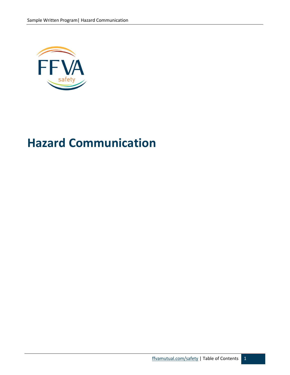

# **Hazard Communication**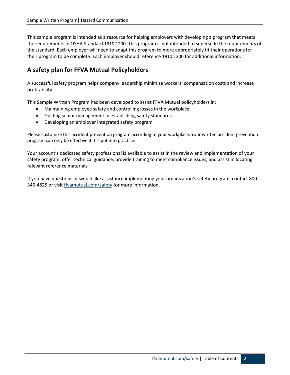This sample program is intended as a resource for helping employers with developing a program that meets the requirements in OSHA Standard 1910.1200. This program is not intended to supersede the requirements of the standard. Each employer will need to adapt this program to more appropriately fit their operations for their program to be complete. Each employer should reference 1910.1200 for additional information.

## **A safety plan for FFVA Mutual Policyholders**

A successful safety program helps company leadership minimize workers' compensation costs and increase profitability.

This Sample Written Program has been developed to assist FFVA Mutual policyholders in:

- Maintaining employee safety and controlling losses in the workplace
- Guiding senior management in establishing safety standards
- Developing an employer integrated safety program

Please customize this accident prevention program according to your workplace. Your written accident prevention program can only be effective if it is put into practice.

Your account's dedicated safety professional is available to assist in the review and implementation of your safety program, offer technical guidance, provide training to meet compliance issues, and assist in locating relevant reference materials.

If you have questions or would like assistance implementing your organization's safety program, contact 800 346-4825 or visit [ffvamutual.com/safety](http://www.ffvamutual.com/safety) for more information.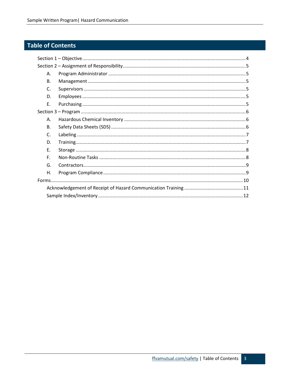# Table of Contents

| Α.           |  |  |  |  |  |
|--------------|--|--|--|--|--|
| В.           |  |  |  |  |  |
| $\mathsf{C}$ |  |  |  |  |  |
| D.           |  |  |  |  |  |
| E.           |  |  |  |  |  |
|              |  |  |  |  |  |
| Α.           |  |  |  |  |  |
| <b>B.</b>    |  |  |  |  |  |
| C.           |  |  |  |  |  |
| D.           |  |  |  |  |  |
| Ε.           |  |  |  |  |  |
| F.           |  |  |  |  |  |
| G.           |  |  |  |  |  |
| Η.           |  |  |  |  |  |
|              |  |  |  |  |  |
|              |  |  |  |  |  |
|              |  |  |  |  |  |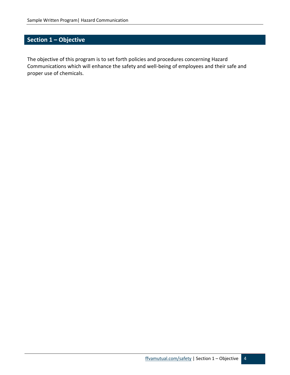# <span id="page-3-0"></span>**Section 1 – Objective**

The objective of this program is to set forth policies and procedures concerning Hazard Communications which will enhance the safety and well-being of employees and their safe and proper use of chemicals.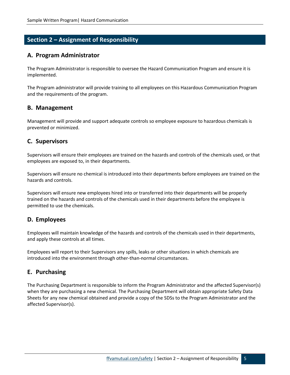### <span id="page-4-0"></span>**Section 2 – Assignment of Responsibility**

#### <span id="page-4-1"></span>**A. Program Administrator**

The Program Administrator is responsible to oversee the Hazard Communication Program and ensure it is implemented.

The Program administrator will provide training to all employees on this Hazardous Communication Program and the requirements of the program.

#### <span id="page-4-2"></span>**B. Management**

Management will provide and support adequate controls so employee exposure to hazardous chemicals is prevented or minimized.

#### <span id="page-4-3"></span>**C. Supervisors**

Supervisors will ensure their employees are trained on the hazards and controls of the chemicals used, or that employees are exposed to, in their departments.

Supervisors will ensure no chemical is introduced into their departments before employees are trained on the hazards and controls.

Supervisors will ensure new employees hired into or transferred into their departments will be properly trained on the hazards and controls of the chemicals used in their departments before the employee is permitted to use the chemicals.

#### <span id="page-4-4"></span>**D. Employees**

Employees will maintain knowledge of the hazards and controls of the chemicals used in their departments, and apply these controls at all times.

Employees will report to their Supervisors any spills, leaks or other situations in which chemicals are introduced into the environment through other-than-normal circumstances.

#### <span id="page-4-5"></span>**E. Purchasing**

The Purchasing Department is responsible to inform the Program Administrator and the affected Supervisor(s) when they are purchasing a new chemical. The Purchasing Department will obtain appropriate Safety Data Sheets for any new chemical obtained and provide a copy of the SDSs to the Program Administrator and the affected Supervisor(s).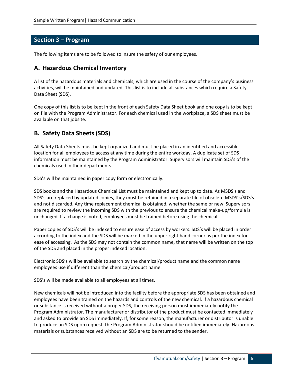#### <span id="page-5-0"></span>**Section 3 – Program**

The following items are to be followed to insure the safety of our employees.

#### <span id="page-5-1"></span>**A. Hazardous Chemical Inventory**

A list of the hazardous materials and chemicals, which are used in the course of the company's business activities, will be maintained and updated. This list is to include all substances which require a Safety Data Sheet (SDS).

One copy of this list is to be kept in the front of each Safety Data Sheet book and one copy is to be kept on file with the Program Administrator. For each chemical used in the workplace, a SDS sheet must be available on that jobsite.

#### <span id="page-5-2"></span>**B. Safety Data Sheets (SDS)**

All Safety Data Sheets must be kept organized and must be placed in an identified and accessible location for all employees to access at any time during the entire workday. A duplicate set of SDS information must be maintained by the Program Administrator. Supervisors will maintain SDS's of the chemicals used in their departments.

SDS's will be maintained in paper copy form or electronically.

SDS books and the Hazardous Chemical List must be maintained and kept up to date. As MSDS's and SDS's are replaced by updated copies, they must be retained in a separate file of obsolete MSDS's/SDS's and not discarded. Any time replacement chemical is obtained, whether the same or new, Supervisors are required to review the incoming SDS with the previous to ensure the chemical make-up/formula is unchanged. If a change is noted, employees must be trained before using the chemical.

Paper copies of SDS's will be indexed to ensure ease of access by workers. SDS's will be placed in order according to the index and the SDS will be marked in the upper right hand corner as per the index for ease of accessing. As the SDS may not contain the common name, that name will be written on the top of the SDS and placed in the proper indexed location.

Electronic SDS's will be available to search by the chemical/product name and the common name employees use if different than the chemical/product name.

SDS's will be made available to all employees at all times.

New chemicals will not be introduced into the facility before the appropriate SDS has been obtained and employees have been trained on the hazards and controls of the new chemical. If a hazardous chemical or substance is received without a proper SDS, the receiving person must immediately notify the Program Administrator. The manufacturer or distributor of the product must be contacted immediately and asked to provide an SDS immediately. If, for some reason, the manufacturer or distributor is unable to produce an SDS upon request, the Program Administrator should be notified immediately. Hazardous materials or substances received without an SDS are to be returned to the sender.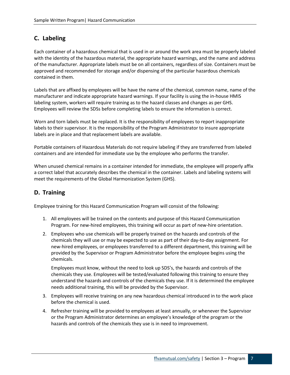## <span id="page-6-0"></span>**C. Labeling**

Each container of a hazardous chemical that is used in or around the work area must be properly labeled with the identity of the hazardous material, the appropriate hazard warnings, and the name and address of the manufacturer. Appropriate labels must be on all containers, regardless of size. Containers must be approved and recommended for storage and/or dispensing of the particular hazardous chemicals contained in them.

Labels that are affixed by employees will be have the name of the chemical, common name, name of the manufacturer and indicate appropriate hazard warnings. If your facility is using the in-house HMIS labeling system, workers will require training as to the hazard classes and changes as per GHS. Employees will review the SDSs before completing labels to ensure the information is correct.

Worn and torn labels must be replaced. It is the responsibility of employees to report inappropriate labels to their supervisor. It is the responsibility of the Program Administrator to insure appropriate labels are in place and that replacement labels are available.

Portable containers of Hazardous Materials do not require labeling if they are transferred from labeled containers and are intended for immediate use by the employee who performs the transfer.

When unused chemical remains in a container intended for immediate, the employee will properly affix a correct label that accurately describes the chemical in the container. Labels and labeling systems will meet the requirements of the Global Harmonization System (GHS).

## <span id="page-6-1"></span>**D. Training**

Employee training for this Hazard Communication Program will consist of the following:

- 1. All employees will be trained on the contents and purpose of this Hazard Communication Program. For new-hired employees, this training will occur as part of new-hire orientation.
- 2. Employees who use chemicals will be properly trained on the hazards and controls of the chemicals they will use or may be expected to use as part of their day-to-day assignment. For new-hired employees, or employees transferred to a different department, this training will be provided by the Supervisor or Program Administrator before the employee begins using the chemicals.

Employees must know, without the need to look up SDS's, the hazards and controls of the chemicals they use. Employees will be tested/evaluated following this training to ensure they understand the hazards and controls of the chemicals they use. If it is determined the employee needs additional training, this will be provided by the Supervisor.

- 3. Employees will receive training on any new hazardous chemical introduced in to the work place before the chemical is used.
- 4. Refresher training will be provided to employees at least annually, or whenever the Supervisor or the Program Administrator determines an employee's knowledge of the program or the hazards and controls of the chemicals they use is in need to improvement.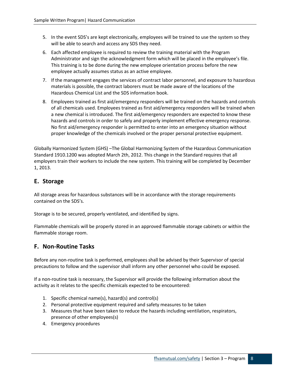- 5. In the event SDS's are kept electronically, employees will be trained to use the system so they will be able to search and access any SDS they need.
- 6. Each affected employee is required to review the training material with the Program Administrator and sign the acknowledgment form which will be placed in the employee's file. This training is to be done during the new employee orientation process before the new employee actually assumes status as an active employee.
- 7. If the management engages the services of contract labor personnel, and exposure to hazardous materials is possible, the contract laborers must be made aware of the locations of the Hazardous Chemical List and the SDS information book.
- 8. Employees trained as first aid/emergency responders will be trained on the hazards and controls of all chemicals used. Employees trained as first aid/emergency responders will be trained when a new chemical is introduced. The first aid/emergency responders are expected to know these hazards and controls in order to safely and properly implement effective emergency response. No first aid/emergency responder is permitted to enter into an emergency situation without proper knowledge of the chemicals involved or the proper personal protective equipment.

Globally Harmonized System (GHS) –The Global Harmonizing System of the Hazardous Communication Standard 1910.1200 was adopted March 2th, 2012. This change in the Standard requires that all employers train their workers to include the new system. This training will be completed by December 1, 2013.

#### <span id="page-7-0"></span>**E. Storage**

All storage areas for hazardous substances will be in accordance with the storage requirements contained on the SDS's.

Storage is to be secured, properly ventilated, and identified by signs.

Flammable chemicals will be properly stored in an approved flammable storage cabinets or within the flammable storage room.

#### <span id="page-7-1"></span>**F. Non-Routine Tasks**

Before any non-routine task is performed, employees shall be advised by their Supervisor of special precautions to follow and the supervisor shall inform any other personnel who could be exposed.

If a non-routine task is necessary, the Supervisor will provide the following information about the activity as it relates to the specific chemicals expected to be encountered:

- 1. Specific chemical name(s), hazard(s) and control(s)
- 2. Personal protective equipment required and safety measures to be taken
- 3. Measures that have been taken to reduce the hazards including ventilation, respirators, presence of other employees(s)
- 4. Emergency procedures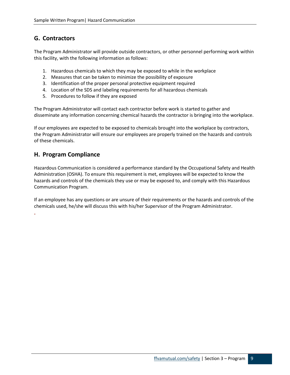#### <span id="page-8-0"></span>**G. Contractors**

The Program Administrator will provide outside contractors, or other personnel performing work within this facility, with the following information as follows:

- 1. Hazardous chemicals to which they may be exposed to while in the workplace
- 2. Measures that can be taken to minimize the possibility of exposure
- 3. Identification of the proper personal protective equipment required
- 4. Location of the SDS and labeling requirements for all hazardous chemicals
- 5. Procedures to follow if they are exposed

The Program Administrator will contact each contractor before work is started to gather and disseminate any information concerning chemical hazards the contractor is bringing into the workplace.

If our employees are expected to be exposed to chemicals brought into the workplace by contractors, the Program Administrator will ensure our employees are properly trained on the hazards and controls of these chemicals.

#### <span id="page-8-1"></span>**H. Program Compliance**

**.**

Hazardous Communication is considered a performance standard by the Occupational Safety and Health Administration (OSHA). To ensure this requirement is met, employees will be expected to know the hazards and controls of the chemicals they use or may be exposed to, and comply with this Hazardous Communication Program.

If an employee has any questions or are unsure of their requirements or the hazards and controls of the chemicals used, he/she will discuss this with his/her Supervisor of the Program Administrator.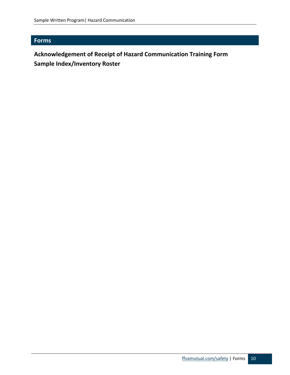# <span id="page-9-0"></span>**Forms**

# **Acknowledgement of Receipt of Hazard Communication Training Form Sample Index/Inventory Roster**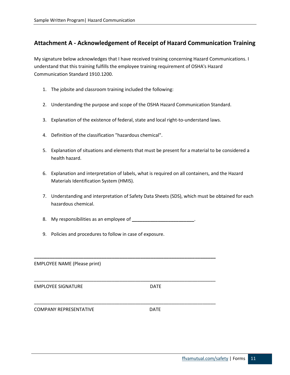#### <span id="page-10-0"></span>**Attachment A - Acknowledgement of Receipt of Hazard Communication Training**

My signature below acknowledges that I have received training concerning Hazard Communications. I understand that this training fulfills the employee training requirement of OSHA's Hazard Communication Standard 1910.1200.

- 1. The jobsite and classroom training included the following:
- 2. Understanding the purpose and scope of the OSHA Hazard Communication Standard.
- 3. Explanation of the existence of federal, state and local right-to-understand laws.
- 4. Definition of the classification "hazardous chemical".
- 5. Explanation of situations and elements that must be present for a material to be considered a health hazard.
- 6. Explanation and interpretation of labels, what is required on all containers, and the Hazard Materials Identification System (HMIS).
- 7. Understanding and interpretation of Safety Data Sheets (SDS), which must be obtained for each hazardous chemical.
- 8. My responsibilities as an employee of **\_\_\_\_\_\_\_\_\_\_\_\_\_\_\_\_\_\_\_\_\_\_\_\_**.

**\_\_\_\_\_\_\_\_\_\_\_\_\_\_\_\_\_\_\_\_\_\_\_\_\_\_\_\_\_\_\_\_\_\_\_\_\_\_\_\_\_\_\_\_\_\_\_\_\_\_\_\_\_\_\_\_\_\_\_\_\_\_\_\_\_\_\_\_\_\_**

\_\_\_\_\_\_\_\_\_\_\_\_\_\_\_\_\_\_\_\_\_\_\_\_\_\_\_\_\_\_\_\_\_\_\_\_\_\_\_\_\_\_\_\_\_\_\_\_\_\_\_\_\_\_\_\_\_\_\_\_\_\_\_\_\_\_\_\_\_\_

\_\_\_\_\_\_\_\_\_\_\_\_\_\_\_\_\_\_\_\_\_\_\_\_\_\_\_\_\_\_\_\_\_\_\_\_\_\_\_\_\_\_\_\_\_\_\_\_\_\_\_\_\_\_\_\_\_\_\_\_\_\_\_\_\_\_\_\_\_\_

9. Policies and procedures to follow in case of exposure.

EMPLOYEE NAME (Please print)

EMPLOYEE SIGNATURE DATE

COMPANY REPRESENTATIVE **EXAMPLE 20 INCREDITATIVE**